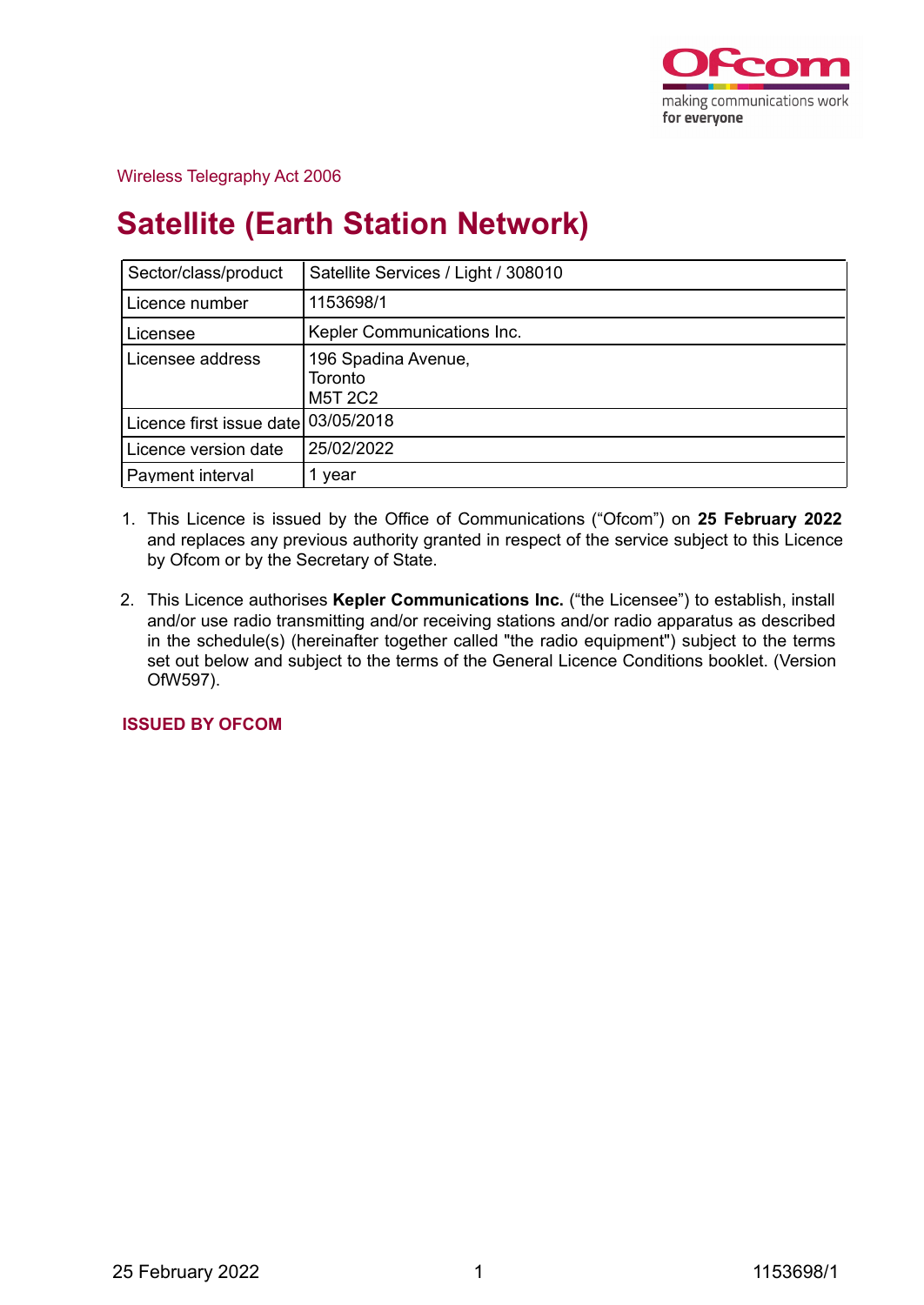

## Wireless Telegraphy Act 2006

# **Satellite (Earth Station Network)**

| Sector/class/product                | Satellite Services / Light / 308010              |
|-------------------------------------|--------------------------------------------------|
| Licence number                      | 1153698/1                                        |
| Licensee                            | Kepler Communications Inc.                       |
| Licensee address                    | 196 Spadina Avenue,<br>Toronto<br><b>M5T 2C2</b> |
| Licence first issue date 03/05/2018 |                                                  |
| Licence version date                | 25/02/2022                                       |
| Payment interval                    | year                                             |

- 1. This Licence is issued by the Office of Communications ("Ofcom") on **25 February 2022** and replaces any previous authority granted in respect of the service subject to this Licence by Ofcom or by the Secretary of State.
- 2. This Licence authorises **Kepler Communications Inc.** ("the Licensee") to establish, install and/or use radio transmitting and/or receiving stations and/or radio apparatus as described in the schedule(s) (hereinafter together called "the radio equipment") subject to the terms set out below and subject to the terms of the General Licence Conditions booklet. (Version OfW597).

**ISSUED BY OFCOM**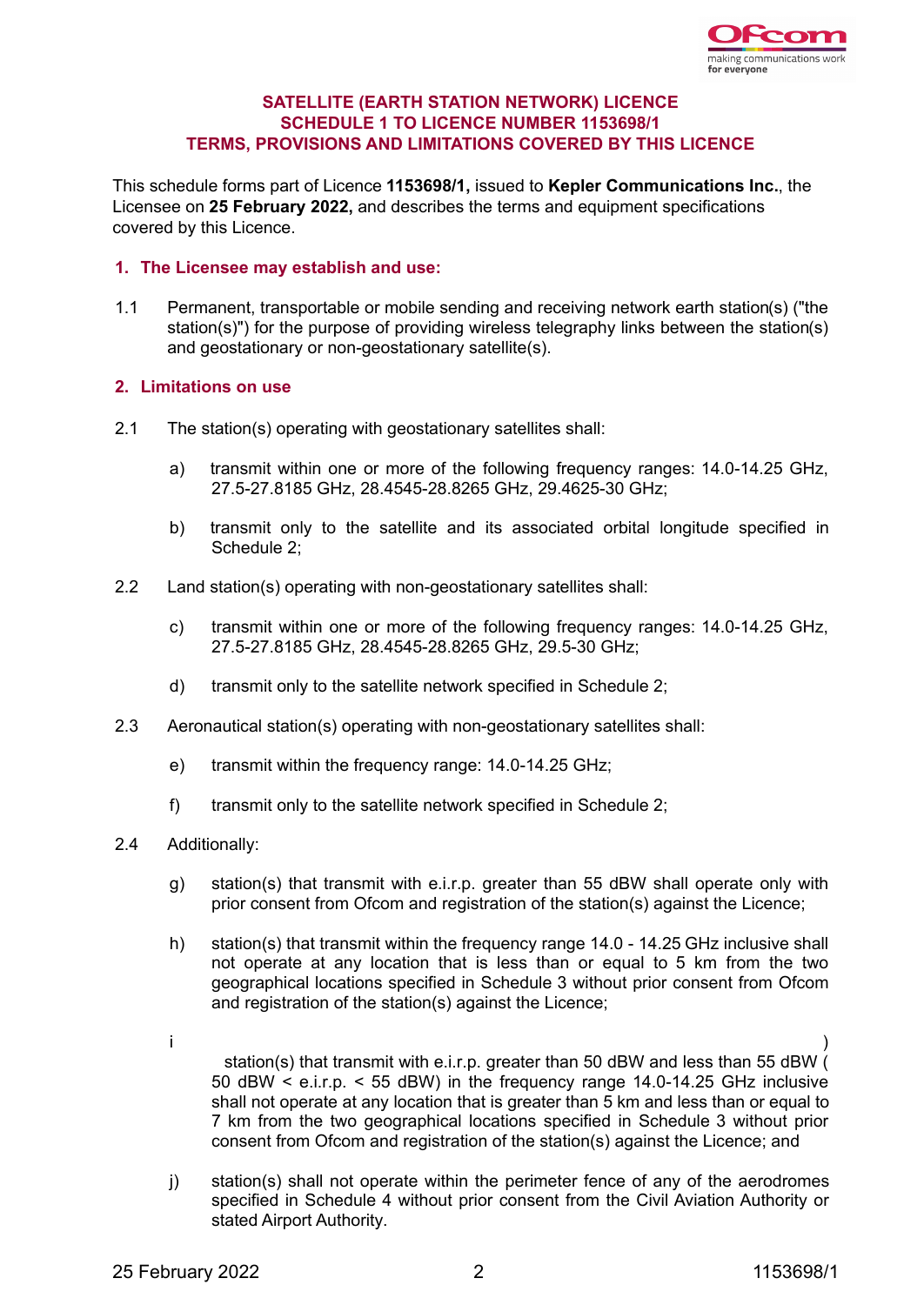

## **SATELLITE (EARTH STATION NETWORK) LICENCE SCHEDULE 1 TO LICENCE NUMBER 1153698/1 TERMS, PROVISIONS AND LIMITATIONS COVERED BY THIS LICENCE**

This schedule forms part of Licence **1153698/1,** issued to **Kepler Communications Inc.**, the Licensee on **25 February 2022,** and describes the terms and equipment specifications covered by this Licence.

## **1. The Licensee may establish and use:**

1.1 Permanent, transportable or mobile sending and receiving network earth station(s) ("the station(s)") for the purpose of providing wireless telegraphy links between the station(s) and geostationary or non-geostationary satellite(s).

## **2. Limitations on use**

- 2.1 The station(s) operating with geostationary satellites shall:
	- a) transmit within one or more of the following frequency ranges: 14.0-14.25 GHz, 27.5-27.8185 GHz, 28.4545-28.8265 GHz, 29.4625-30 GHz;
	- b) transmit only to the satellite and its associated orbital longitude specified in Schedule 2;
- 2.2 Land station(s) operating with non-geostationary satellites shall:
	- c) transmit within one or more of the following frequency ranges: 14.0-14.25 GHz, 27.5-27.8185 GHz, 28.4545-28.8265 GHz, 29.5-30 GHz;
	- d) transmit only to the satellite network specified in Schedule 2;
- 2.3 Aeronautical station(s) operating with non-geostationary satellites shall:
	- e) transmit within the frequency range: 14.0-14.25 GHz;
	- f) transmit only to the satellite network specified in Schedule 2;
- 2.4 Additionally:
	- g) station(s) that transmit with e.i.r.p. greater than 55 dBW shall operate only with prior consent from Ofcom and registration of the station(s) against the Licence;
	- h) station(s) that transmit within the frequency range 14.0 14.25 GHz inclusive shall not operate at any location that is less than or equal to 5 km from the two geographical locations specified in Schedule 3 without prior consent from Ofcom and registration of the station(s) against the Licence;
	- i ) station(s) that transmit with e.i.r.p. greater than 50 dBW and less than 55 dBW ( 50 dBW < e.i.r.p. < 55 dBW) in the frequency range 14.0-14.25 GHz inclusive shall not operate at any location that is greater than 5 km and less than or equal to 7 km from the two geographical locations specified in Schedule 3 without prior consent from Ofcom and registration of the station(s) against the Licence; and
	- j) station(s) shall not operate within the perimeter fence of any of the aerodromes specified in Schedule 4 without prior consent from the Civil Aviation Authority or stated Airport Authority.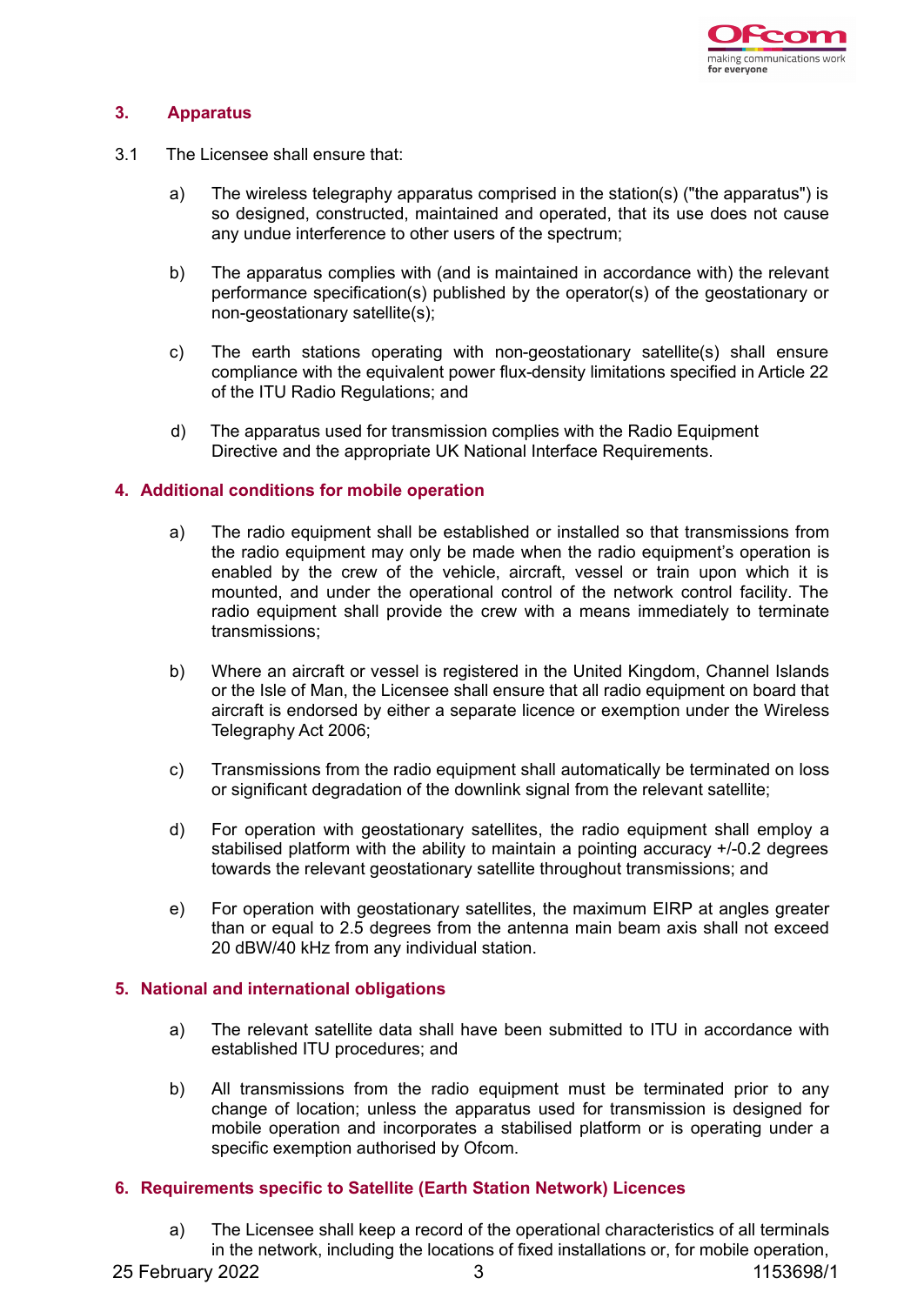

## **3. Apparatus**

- 3.1 The Licensee shall ensure that:
	- a) The wireless telegraphy apparatus comprised in the station(s) ("the apparatus") is so designed, constructed, maintained and operated, that its use does not cause any undue interference to other users of the spectrum;
	- b) The apparatus complies with (and is maintained in accordance with) the relevant performance specification(s) published by the operator(s) of the geostationary or non-geostationary satellite(s);
	- c) The earth stations operating with non-geostationary satellite(s) shall ensure compliance with the equivalent power flux-density limitations specified in Article 22 of the ITU Radio Regulations; and
	- d) The apparatus used for transmission complies with the Radio Equipment Directive and the appropriate UK National Interface Requirements.

#### **4. Additional conditions for mobile operation**

- a) The radio equipment shall be established or installed so that transmissions from the radio equipment may only be made when the radio equipment's operation is enabled by the crew of the vehicle, aircraft, vessel or train upon which it is mounted, and under the operational control of the network control facility. The radio equipment shall provide the crew with a means immediately to terminate transmissions;
- b) Where an aircraft or vessel is registered in the United Kingdom, Channel Islands or the Isle of Man, the Licensee shall ensure that all radio equipment on board that aircraft is endorsed by either a separate licence or exemption under the Wireless Telegraphy Act 2006;
- c) Transmissions from the radio equipment shall automatically be terminated on loss or significant degradation of the downlink signal from the relevant satellite;
- d) For operation with geostationary satellites, the radio equipment shall employ a stabilised platform with the ability to maintain a pointing accuracy +/-0.2 degrees towards the relevant geostationary satellite throughout transmissions; and
- e) For operation with geostationary satellites, the maximum EIRP at angles greater than or equal to 2.5 degrees from the antenna main beam axis shall not exceed 20 dBW/40 kHz from any individual station.

#### **5. National and international obligations**

- a) The relevant satellite data shall have been submitted to ITU in accordance with established ITU procedures; and
- b) All transmissions from the radio equipment must be terminated prior to any change of location; unless the apparatus used for transmission is designed for mobile operation and incorporates a stabilised platform or is operating under a specific exemption authorised by Ofcom.

## **6. Requirements specific to Satellite (Earth Station Network) Licences**

a) The Licensee shall keep a record of the operational characteristics of all terminals in the network, including the locations of fixed installations or, for mobile operation,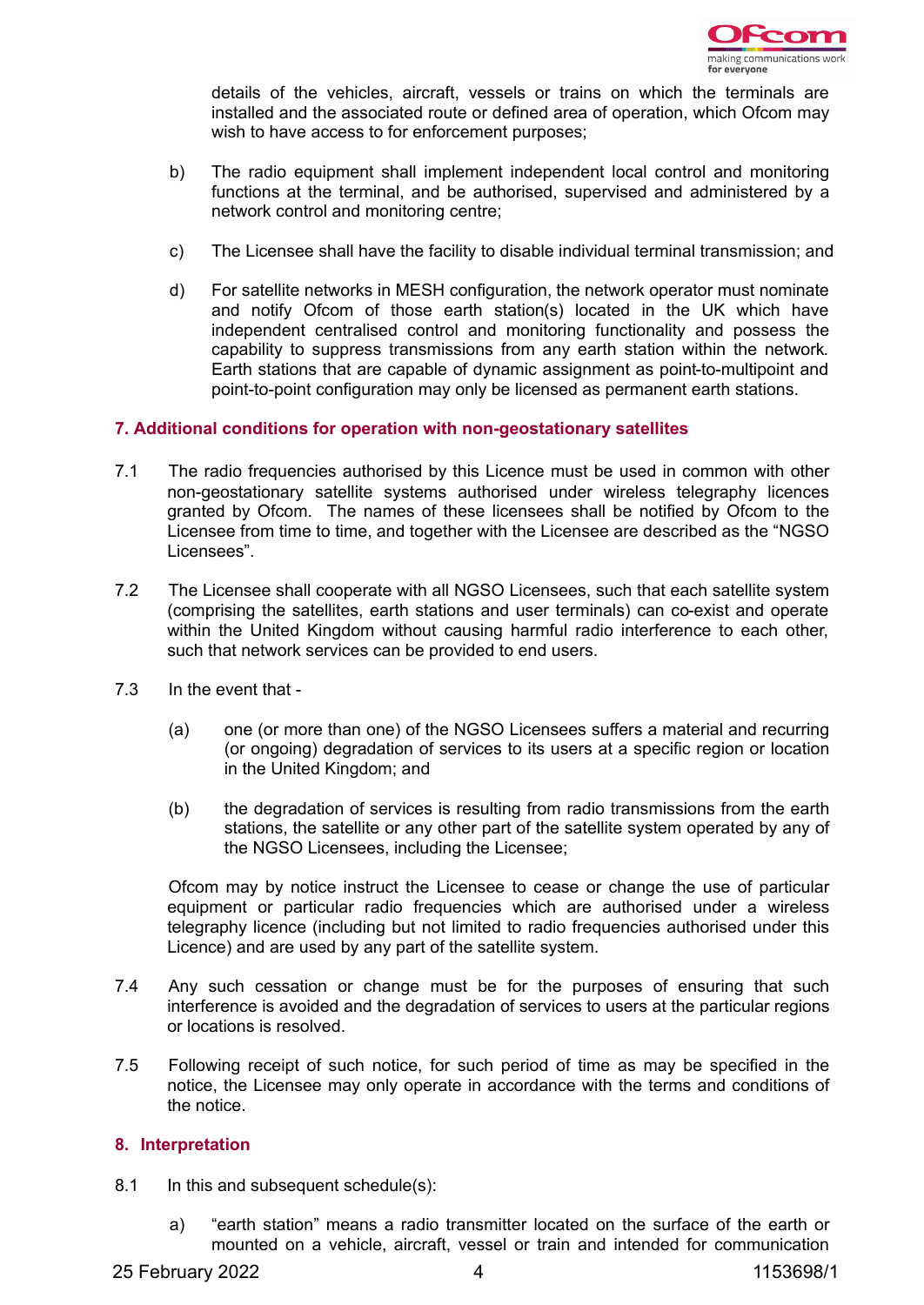

details of the vehicles, aircraft, vessels or trains on which the terminals are installed and the associated route or defined area of operation, which Ofcom may wish to have access to for enforcement purposes;

- b) The radio equipment shall implement independent local control and monitoring functions at the terminal, and be authorised, supervised and administered by a network control and monitoring centre;
- c) The Licensee shall have the facility to disable individual terminal transmission; and
- d) For satellite networks in MESH configuration, the network operator must nominate and notify Ofcom of those earth station(s) located in the UK which have independent centralised control and monitoring functionality and possess the capability to suppress transmissions from any earth station within the network. Earth stations that are capable of dynamic assignment as point-to-multipoint and point-to-point configuration may only be licensed as permanent earth stations.

## **7. Additional conditions for operation with non-geostationary satellites**

- 7.1 The radio frequencies authorised by this Licence must be used in common with other non-geostationary satellite systems authorised under wireless telegraphy licences granted by Ofcom. The names of these licensees shall be notified by Ofcom to the Licensee from time to time, and together with the Licensee are described as the "NGSO Licensees".
- 7.2 The Licensee shall cooperate with all NGSO Licensees, such that each satellite system (comprising the satellites, earth stations and user terminals) can co-exist and operate within the United Kingdom without causing harmful radio interference to each other, such that network services can be provided to end users.
- 7.3 In the event that
	- (a) one (or more than one) of the NGSO Licensees suffers a material and recurring (or ongoing) degradation of services to its users at a specific region or location in the United Kingdom; and
	- (b) the degradation of services is resulting from radio transmissions from the earth stations, the satellite or any other part of the satellite system operated by any of the NGSO Licensees, including the Licensee;

Ofcom may by notice instruct the Licensee to cease or change the use of particular equipment or particular radio frequencies which are authorised under a wireless telegraphy licence (including but not limited to radio frequencies authorised under this Licence) and are used by any part of the satellite system.

- 7.4 Any such cessation or change must be for the purposes of ensuring that such interference is avoided and the degradation of services to users at the particular regions or locations is resolved.
- 7.5 Following receipt of such notice, for such period of time as may be specified in the notice, the Licensee may only operate in accordance with the terms and conditions of the notice.

#### **8. Interpretation**

- 8.1 In this and subsequent schedule(s):
	- a) "earth station" means a radio transmitter located on the surface of the earth or mounted on a vehicle, aircraft, vessel or train and intended for communication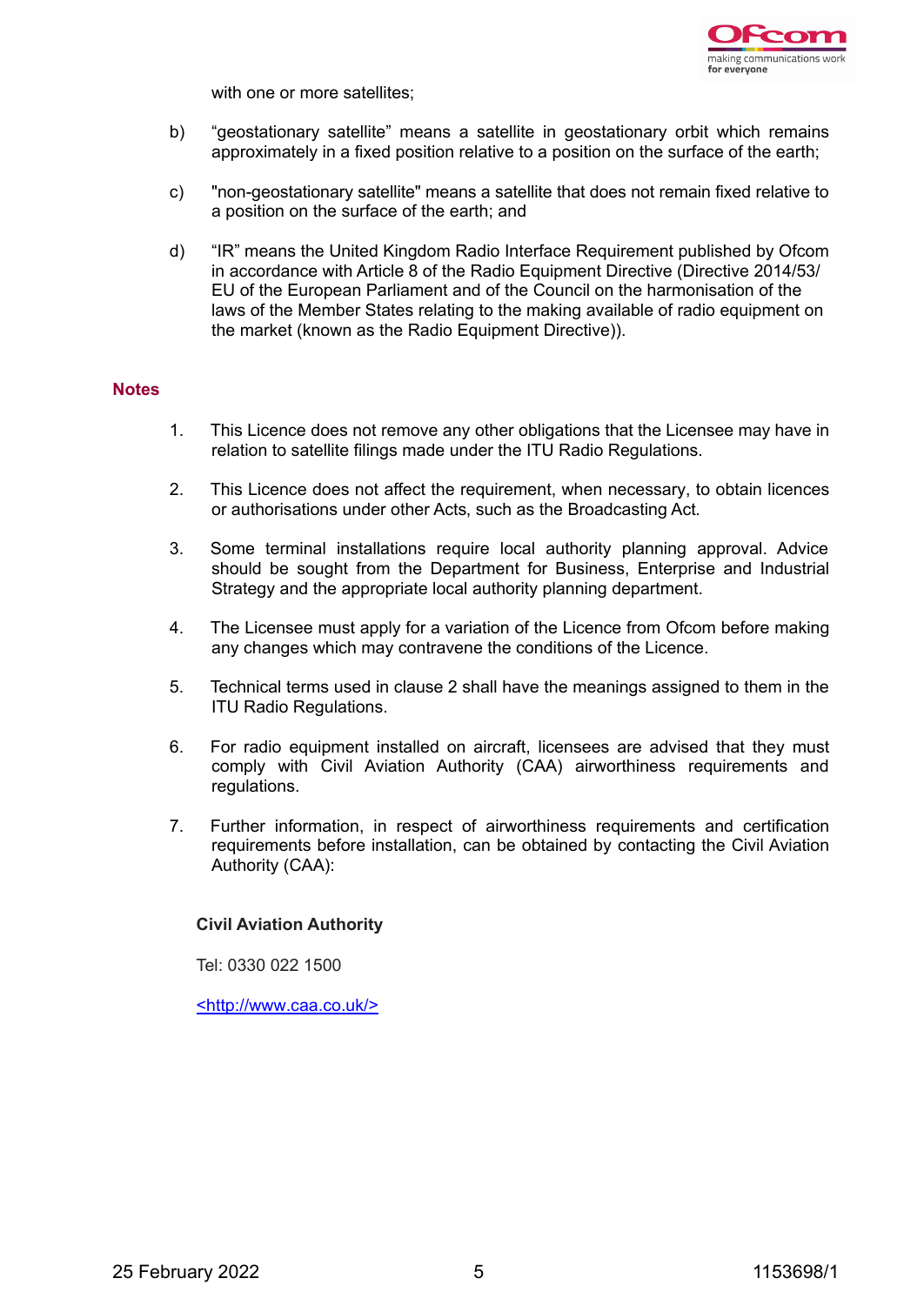

with one or more satellites;

- b) "geostationary satellite" means a satellite in geostationary orbit which remains approximately in a fixed position relative to a position on the surface of the earth;
- c) "non-geostationary satellite" means a satellite that does not remain fixed relative to a position on the surface of the earth; and
- d) "IR" means the United Kingdom Radio Interface Requirement published by Ofcom in accordance with Article 8 of the Radio Equipment Directive (Directive 2014/53/ EU of the European Parliament and of the Council on the harmonisation of the laws of the Member States relating to the making available of radio equipment on the market (known as the Radio Equipment Directive)).

#### **Notes**

- 1. This Licence does not remove any other obligations that the Licensee may have in relation to satellite filings made under the ITU Radio Regulations.
- 2. This Licence does not affect the requirement, when necessary, to obtain licences or authorisations under other Acts, such as the Broadcasting Act.
- 3. Some terminal installations require local authority planning approval. Advice should be sought from the Department for Business, Enterprise and Industrial Strategy and the appropriate local authority planning department.
- 4. The Licensee must apply for a variation of the Licence from Ofcom before making any changes which may contravene the conditions of the Licence.
- 5. Technical terms used in clause 2 shall have the meanings assigned to them in the ITU Radio Regulations.
- 6. For radio equipment installed on aircraft, licensees are advised that they must comply with Civil Aviation Authority (CAA) airworthiness requirements and regulations.
- 7. Further information, in respect of airworthiness requirements and certification requirements before installation, can be obtained by contacting the Civil Aviation Authority (CAA):

#### **Civil Aviation Authority**

Tel: 0330 022 1500

<http://www.caa.co.uk/>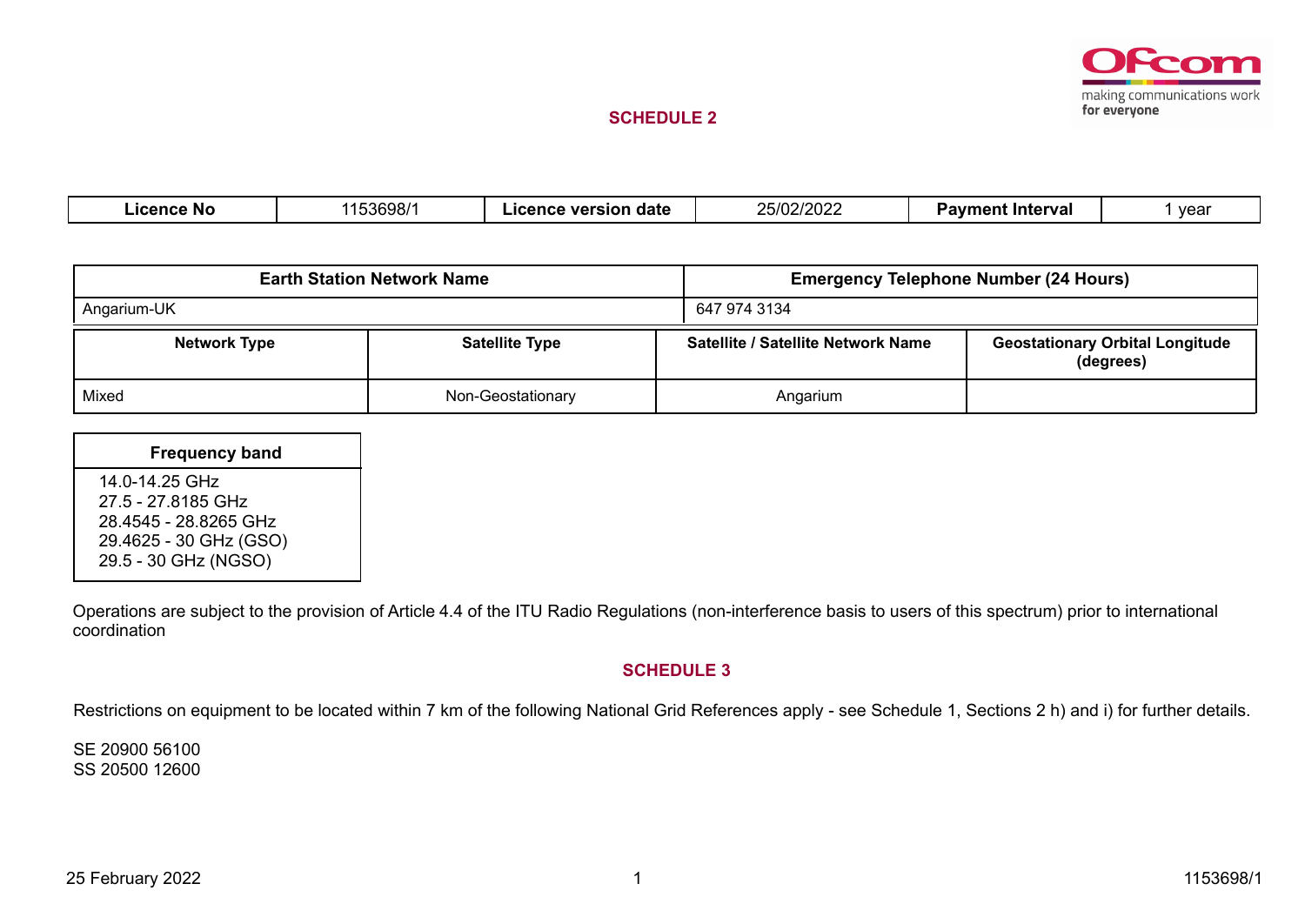

#### **SCHEDULE 2**

| .icence No | 53698/1 | . date<br>version<br>icence | 25/02/2020<br>25/02/2022 | ∖ Interval<br>Paymen<br>-- | vear |
|------------|---------|-----------------------------|--------------------------|----------------------------|------|
|            |         |                             |                          |                            |      |

|                     | <b>Earth Station Network Name</b> | <b>Emergency Telephone Number (24 Hours)</b> |                                                     |  |  |
|---------------------|-----------------------------------|----------------------------------------------|-----------------------------------------------------|--|--|
| Angarium-UK         |                                   | 647 974 3134                                 |                                                     |  |  |
| <b>Network Type</b> | <b>Satellite Type</b>             | Satellite / Satellite Network Name           | <b>Geostationary Orbital Longitude</b><br>(degrees) |  |  |
| Mixed               | Non-Geostationary                 | Angarium                                     |                                                     |  |  |

| <b>Frequency band</b>                                                                   |
|-----------------------------------------------------------------------------------------|
| 14.0-14.25 GHz<br>27 5 - 27 8185 GHz<br>28.4545 - 28.8265 GHz<br>29.4625 - 30 GHz (GSO) |
| 29.5 - 30 GHz (NGSO)                                                                    |

Operations are subject to the provision of Article 4.4 of the ITU Radio Regulations (non-interference basis to users of this spectrum) prior to international coordination

#### **SCHEDULE 3**

Restrictions on equipment to be located within 7 km of the following National Grid References apply - see Schedule 1, Sections 2 h) and i) for further details.

SE 20900 56100 SS 20500 12600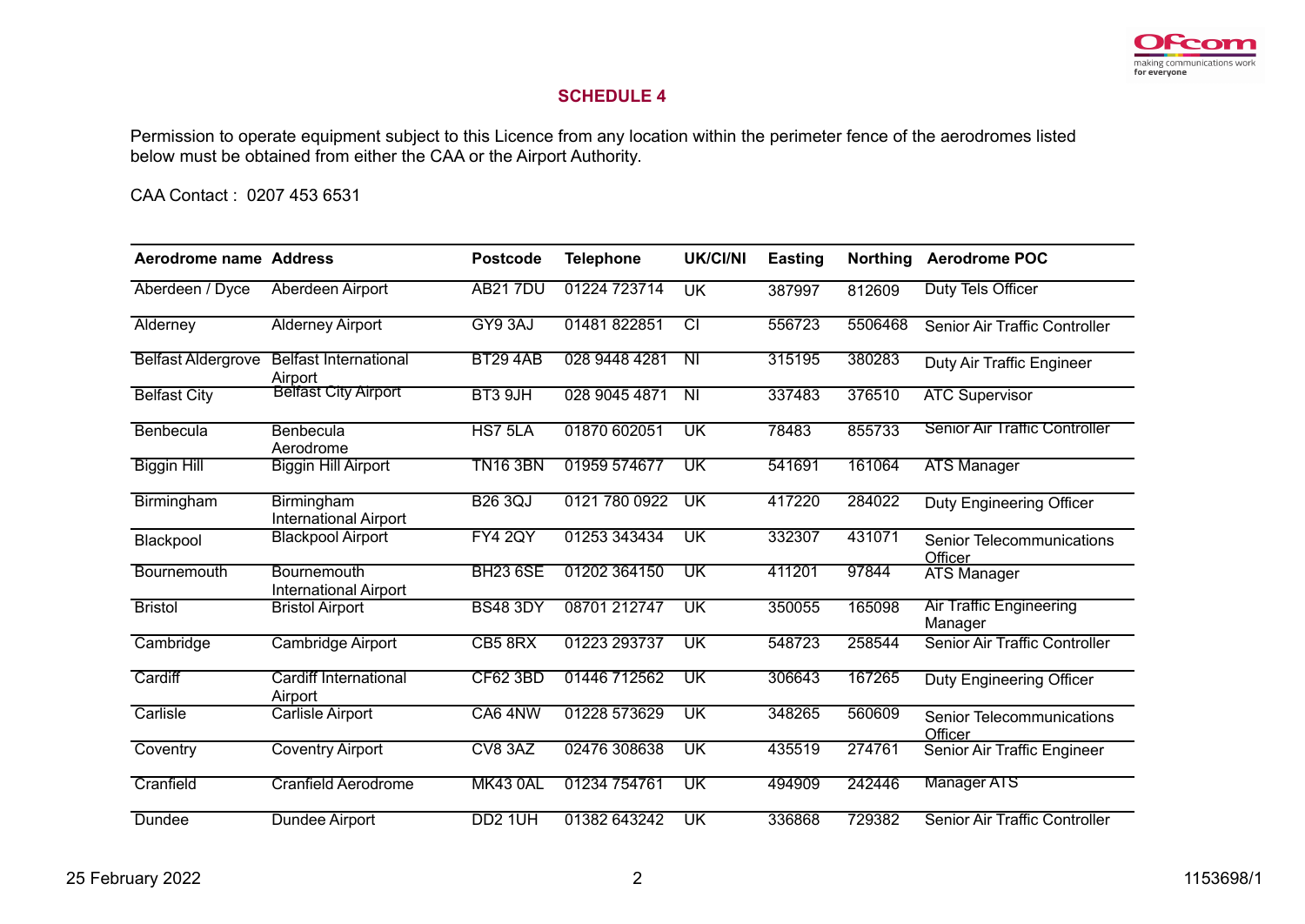

## **SCHEDULE 4**

Permission to operate equipment subject to this Licence from any location within the perimeter fence of the aerodromes listed below must be obtained from either the CAA or the Airport Authority.

CAA Contact : 0207 453 6531

| Aerodrome name Address    |                                             | <b>Postcode</b>     | <b>Telephone</b> | <b>UK/CI/NI</b>          | <b>Easting</b> | <b>Northing</b> | <b>Aerodrome POC</b>                      |
|---------------------------|---------------------------------------------|---------------------|------------------|--------------------------|----------------|-----------------|-------------------------------------------|
| Aberdeen / Dyce           | Aberdeen Airport                            | <b>AB217DU</b>      | 01224 723714     | <b>UK</b>                | 387997         | 812609          | Duty Tels Officer                         |
| Alderney                  | <b>Alderney Airport</b>                     | GY9 3AJ             | 01481822851      | टा                       | 556723         | 5506468         | Senior Air Traffic Controller             |
| <b>Belfast Aldergrove</b> | <b>Belfast International</b><br>Airport     | <b>BT29 4AB</b>     | 028 9448 4281    | $\overline{N}$           | 315195         | 380283          | Duty Air Traffic Engineer                 |
| <b>Belfast City</b>       | <b>Belfast City Airport</b>                 | BT3 9JH             | 028 9045 4871    | $\overline{\mathsf{N}}$  | 337483         | 376510          | <b>ATC Supervisor</b>                     |
| Benbecula                 | Benbecula<br>Aerodrome                      | HS7 5LA             | 01870 602051     | UK                       | 78483          | 855733          | <b>Senior Air Traffic Controller</b>      |
| <b>Biggin Hill</b>        | <b>Biggin Hill Airport</b>                  | <b>TN16 3BN</b>     | 01959 574677     | UK                       | 541691         | 161064          | <b>ATS Manager</b>                        |
| Birmingham                | Birmingham<br><b>International Airport</b>  | <b>B26 3QJ</b>      | 0121 780 0922    | UK                       | 417220         | 284022          | Duty Engineering Officer                  |
| Blackpool                 | <b>Blackpool Airport</b>                    | <b>FY4 2QY</b>      | 01253 343434     | UK                       | 332307         | 431071          | Senior Telecommunications<br>Officer      |
| Bournemouth               | Bournemouth<br><b>International Airport</b> | <b>BH23 6SE</b>     | 01202 364150     | UK                       | 411201         | 97844           | <b>ATS Manager</b>                        |
| <b>Bristol</b>            | <b>Bristol Airport</b>                      | <b>BS48 3DY</b>     | 08701 212747     | UK                       | 350055         | 165098          | <b>Air Traffic Engineering</b><br>Manager |
| Cambridge                 | <b>Cambridge Airport</b>                    | CB5 8RX             | 01223 293737     | UK                       | 548723         | 258544          | Senior Air Traffic Controller             |
| Cardiff                   | Cardiff International<br>Airport            | <b>CF62 3BD</b>     | 01446 712562     | UK                       | 306643         | 167265          | Duty Engineering Officer                  |
| Carlisle                  | <b>Carlisle Airport</b>                     | CA6 4NW             | 01228 573629     | $\overline{\mathsf{UK}}$ | 348265         | 560609          | Senior Telecommunications<br>Officer      |
| Coventry                  | <b>Coventry Airport</b>                     | CV8 3AZ             | 02476 308638     | UK                       | 435519         | 274761          | Senior Air Traffic Engineer               |
| Cranfield                 | <b>Cranfield Aerodrome</b>                  | <b>MK43 0AL</b>     | 01234 754761     | UK                       | 494909         | 242446          | <b>Manager ATS</b>                        |
| Dundee                    | Dundee Airport                              | DD <sub>2</sub> 1UH | 01382 643242     | UK                       | 336868         | 729382          | Senior Air Traffic Controller             |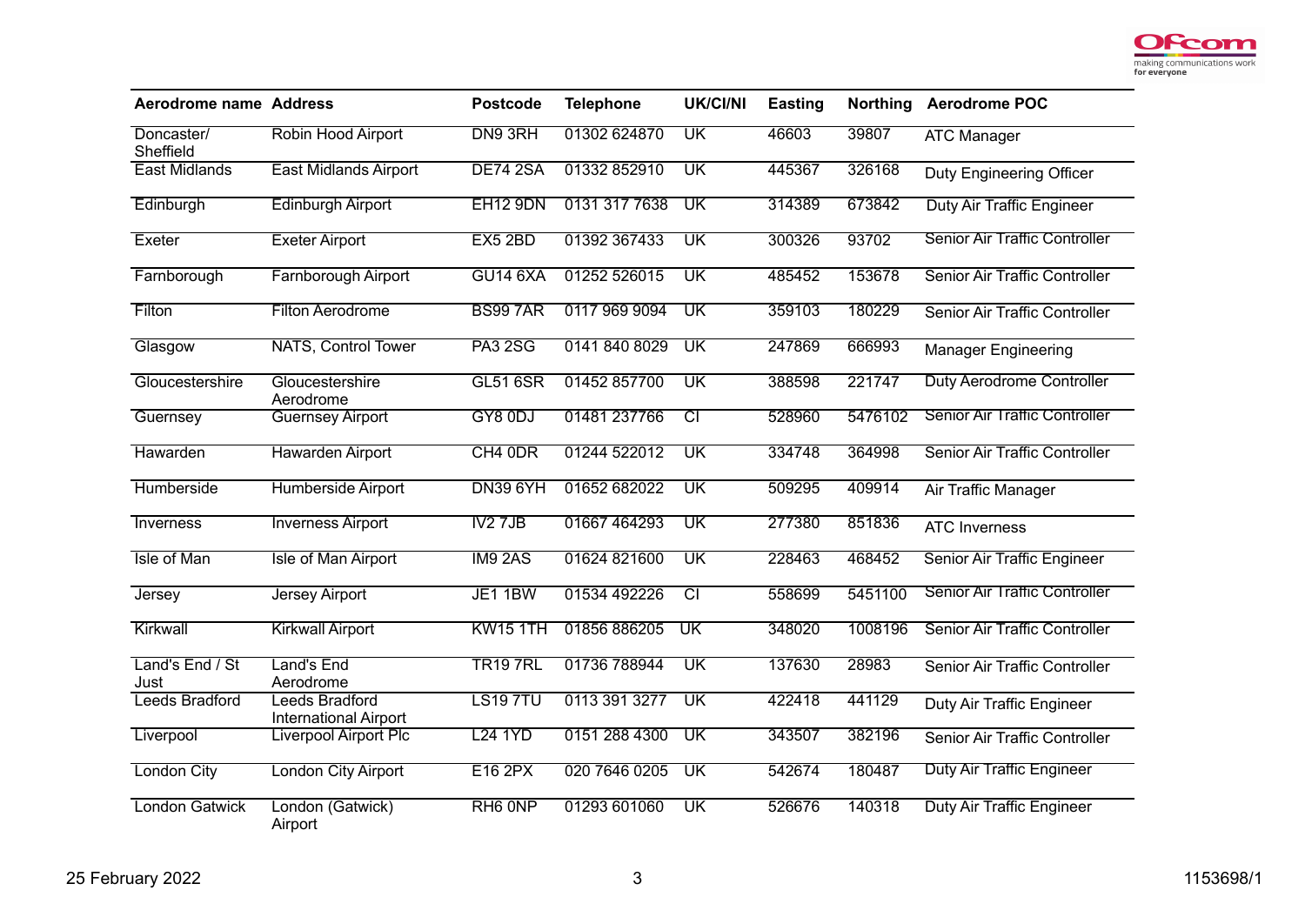

| <b>Aerodrome name Address</b> |                                                | <b>Postcode</b>     | <b>Telephone</b> | <b>UK/CI/NI</b>          | <b>Easting</b> | <b>Northing</b> | <b>Aerodrome POC</b>                 |
|-------------------------------|------------------------------------------------|---------------------|------------------|--------------------------|----------------|-----------------|--------------------------------------|
| Doncaster/<br>Sheffield       | Robin Hood Airport                             | DN9 3RH             | 01302 624870     | UK                       | 46603          | 39807           | <b>ATC Manager</b>                   |
| <b>East Midlands</b>          | <b>East Midlands Airport</b>                   | <b>DE74 2SA</b>     | 01332 852910     | UK                       | 445367         | 326168          | Duty Engineering Officer             |
| Edinburgh                     | <b>Edinburgh Airport</b>                       | <b>EH12 9DN</b>     | 0131 317 7638    | $\overline{\mathsf{UK}}$ | 314389         | 673842          | <b>Duty Air Traffic Engineer</b>     |
| Exeter                        | <b>Exeter Airport</b>                          | EX5 2BD             | 01392 367433     | $\overline{\text{UK}}$   | 300326         | 93702           | <b>Senior Air Traffic Controller</b> |
| Farnborough                   | <b>Farnborough Airport</b>                     | <b>GU14 6XA</b>     | 01252 526015     | $\overline{\textsf{UK}}$ | 485452         | 153678          | Senior Air Traffic Controller        |
| Filton                        | <b>Filton Aerodrome</b>                        | <b>BS997AR</b>      | 0117 969 9094    | $\overline{\text{UK}}$   | 359103         | 180229          | Senior Air Traffic Controller        |
| Glasgow                       | <b>NATS, Control Tower</b>                     | <b>PA3 2SG</b>      | 0141 840 8029    | $\overline{\mathsf{UK}}$ | 247869         | 666993          | <b>Manager Engineering</b>           |
| Gloucestershire               | Gloucestershire<br>Aerodrome                   | <b>GL51 6SR</b>     | 01452 857700     | $\overline{\text{UK}}$   | 388598         | 221747          | Duty Aerodrome Controller            |
| Guernsey                      | <b>Guernsey Airport</b>                        | GY8 0DJ             | 01481 237766     | $\overline{\text{CI}}$   | 528960         | 5476102         | <b>Senior Air Traffic Controller</b> |
| Hawarden                      | <b>Hawarden Airport</b>                        | CH4 0DR             | 01244 522012     | $\overline{\mathsf{UK}}$ | 334748         | 364998          | Senior Air Traffic Controller        |
| Humberside                    | Humberside Airport                             | <b>DN39 6YH</b>     | 01652 682022     | $\overline{\text{UK}}$   | 509295         | 409914          | Air Traffic Manager                  |
| Inverness                     | <b>Inverness Airport</b>                       | IV2 7JB             | 01667 464293     | $\overline{\textsf{UK}}$ | 277380         | 851836          | <b>ATC Inverness</b>                 |
| Isle of Man                   | <b>Isle of Man Airport</b>                     | IM9 2AS             | 01624 821600     | $\overline{\mathsf{UK}}$ | 228463         | 468452          | Senior Air Traffic Engineer          |
| <b>Jersey</b>                 | <b>Jersey Airport</b>                          | JE1 1BW             | 01534 492226     | टा                       | 558699         | 5451100         | <b>Senior Air Traffic Controller</b> |
| Kirkwall                      | <b>Kirkwall Airport</b>                        | <b>KW15 1TH</b>     | 01856 886205     | $\overline{\text{UK}}$   | 348020         | 1008196         | Senior Air Traffic Controller        |
| Land's End / St<br>Just       | Land's End<br>Aerodrome                        | <b>TR19 7RL</b>     | 01736 788944     | $\overline{\mathsf{UK}}$ | 137630         | 28983           | Senior Air Traffic Controller        |
| <b>Leeds Bradford</b>         | Leeds Bradford<br><b>International Airport</b> | <b>LS19 7TU</b>     | 0113 391 3277    | $\overline{\mathsf{UK}}$ | 422418         | 441129          | Duty Air Traffic Engineer            |
| Liverpool                     | <b>Liverpool Airport Plc</b>                   | <b>L24 1YD</b>      | 0151 288 4300    | $\overline{\mathsf{UK}}$ | 343507         | 382196          | Senior Air Traffic Controller        |
| <b>London City</b>            | <b>London City Airport</b>                     | <b>E16 2PX</b>      | 020 7646 0205    | $\overline{\mathsf{UK}}$ | 542674         | 180487          | <b>Duty Air Traffic Engineer</b>     |
| <b>London Gatwick</b>         | London (Gatwick)<br>Airport                    | RH <sub>6</sub> ONP | 01293 601060     | $\overline{\textsf{UK}}$ | 526676         | 140318          | <b>Duty Air Traffic Engineer</b>     |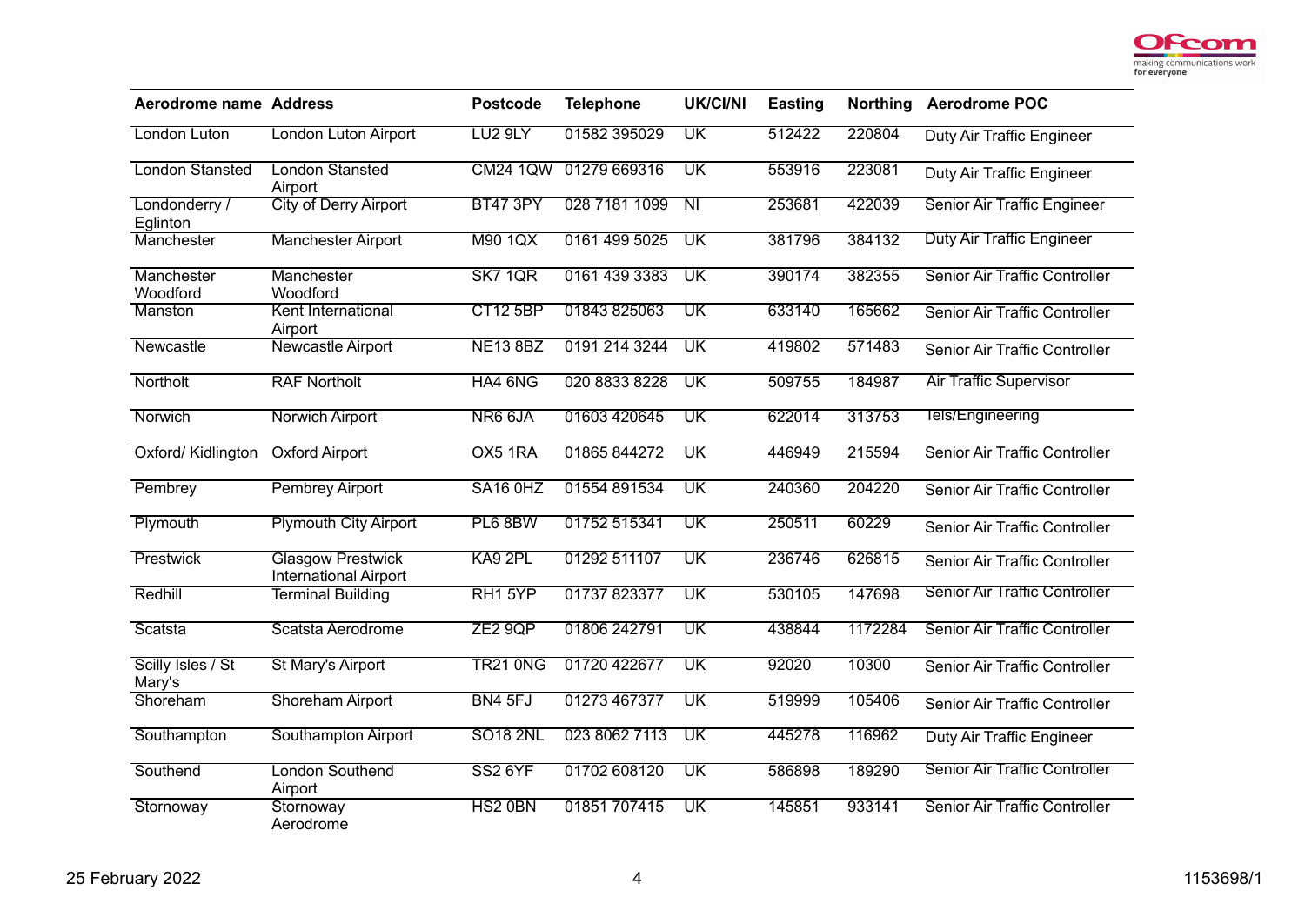

| <b>Aerodrome name Address</b> |                                                          | <b>Postcode</b>     | <b>Telephone</b> | <b>UK/CI/NI</b>          | Easting | <b>Northing</b> | <b>Aerodrome POC</b>                 |
|-------------------------------|----------------------------------------------------------|---------------------|------------------|--------------------------|---------|-----------------|--------------------------------------|
| London Luton                  | London Luton Airport                                     | LU <sub>2</sub> 9LY | 01582 395029     | $\overline{\mathsf{UK}}$ | 512422  | 220804          | Duty Air Traffic Engineer            |
| <b>London Stansted</b>        | <b>London Stansted</b><br>Airport                        | <b>CM24 1QW</b>     | 01279 669316     | UK                       | 553916  | 223081          | Duty Air Traffic Engineer            |
| Londonderry /<br>Eglinton     | <b>City of Derry Airport</b>                             | <b>BT47 3PY</b>     | 028 7181 1099    | $\overline{N}$           | 253681  | 422039          | Senior Air Traffic Engineer          |
| Manchester                    | <b>Manchester Airport</b>                                | M90 1QX             | 0161 499 5025    | $\overline{\mathsf{UK}}$ | 381796  | 384132          | <b>Duty Air Traffic Engineer</b>     |
| Manchester<br>Woodford        | Manchester<br>Woodford                                   | <b>SK7 1QR</b>      | 0161 439 3383    | $\overline{\mathsf{UK}}$ | 390174  | 382355          | Senior Air Traffic Controller        |
| Manston                       | Kent International<br>Airport                            | <b>CT12 5BP</b>     | 01843 825063     | $\overline{\textsf{UK}}$ | 633140  | 165662          | Senior Air Traffic Controller        |
| Newcastle                     | <b>Newcastle Airport</b>                                 | <b>NE13 8BZ</b>     | 0191 214 3244    | $\overline{\textsf{UK}}$ | 419802  | 571483          | Senior Air Traffic Controller        |
| Northolt                      | <b>RAF Northolt</b>                                      | HA4 6NG             | 020 8833 8228    | $\overline{\mathsf{UK}}$ | 509755  | 184987          | <b>Air Traffic Supervisor</b>        |
| Norwich                       | <b>Norwich Airport</b>                                   | NR6 6JA             | 01603 420645     | $\overline{\textsf{UK}}$ | 622014  | 313753          | Tels/Engineering                     |
| Oxford/Kidlington             | <b>Oxford Airport</b>                                    | OX5 1RA             | 01865844272      | $\overline{\text{UK}}$   | 446949  | 215594          | <b>Senior Air Traffic Controller</b> |
| Pembrey                       | <b>Pembrey Airport</b>                                   | SA16 OHZ            | 01554 891534     | $\overline{\text{UK}}$   | 240360  | 204220          | Senior Air Traffic Controller        |
| Plymouth                      | <b>Plymouth City Airport</b>                             | PL6 8BW             | 01752 515341     | $\overline{\mathsf{UK}}$ | 250511  | 60229           | Senior Air Traffic Controller        |
| Prestwick                     | <b>Glasgow Prestwick</b><br><b>International Airport</b> | KA9 2PL             | 01292 511107     | $\overline{\mathsf{UK}}$ | 236746  | 626815          | Senior Air Traffic Controller        |
| Redhill                       | <b>Terminal Building</b>                                 | RH1 5YP             | 01737823377      | $\overline{\mathsf{UK}}$ | 530105  | 147698          | <b>Senior Air Traffic Controller</b> |
| Scatsta                       | Scatsta Aerodrome                                        | ZE29QP              | 01806 242791     | $\overline{\textsf{UK}}$ | 438844  | 1172284         | Senior Air Traffic Controller        |
| Scilly Isles / St<br>Mary's   | <b>St Mary's Airport</b>                                 | <b>TR21 0NG</b>     | 01720 422677     | $\overline{\text{UK}}$   | 92020   | 10300           | Senior Air Traffic Controller        |
| Shoreham                      | <b>Shoreham Airport</b>                                  | BN4 5FJ             | 01273 467377     | $\overline{\mathsf{UK}}$ | 519999  | 105406          | Senior Air Traffic Controller        |
| Southampton                   | Southampton Airport                                      | <b>SO18 2NL</b>     | 023 8062 7113    | UK                       | 445278  | 116962          | <b>Duty Air Traffic Engineer</b>     |
| Southend                      | <b>London Southend</b><br>Airport                        | <b>SS2 6YF</b>      | 01702 608120     | $\overline{\text{UK}}$   | 586898  | 189290          | <b>Senior Air Traffic Controller</b> |
| Stornoway                     | Stornoway<br>Aerodrome                                   | HS2 0BN             | 01851 707415     | $\overline{\mathsf{UK}}$ | 145851  | 933141          | Senior Air Traffic Controller        |